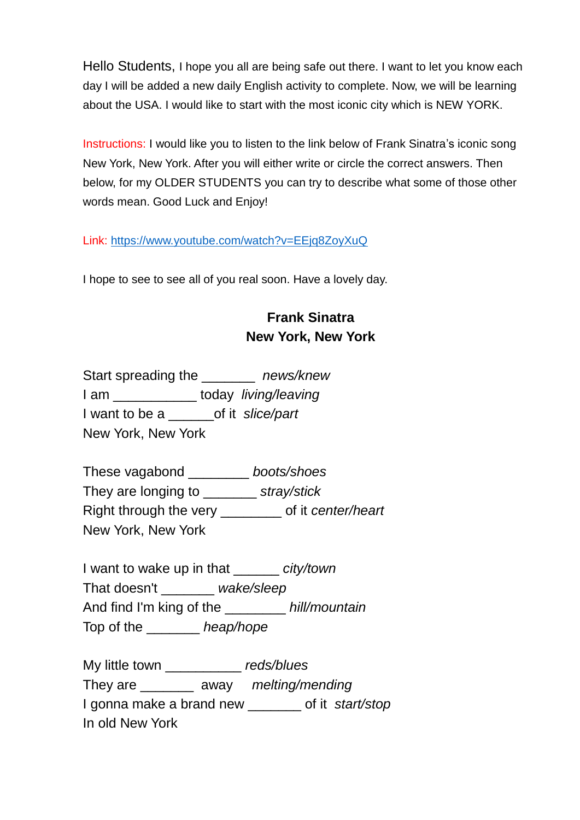Hello Students, I hope you all are being safe out there. I want to let you know each day I will be added a new daily English activity to complete. Now, we will be learning about the USA. I would like to start with the most iconic city which is NEW YORK.

Instructions: I would like you to listen to the link below of Frank Sinatra's iconic song New York, New York. After you will either write or circle the correct answers. Then below, for my OLDER STUDENTS you can try to describe what some of those other words mean. Good Luck and Enjoy!

Link:<https://www.youtube.com/watch?v=EEjq8ZoyXuQ>

I hope to see to see all of you real soon. Have a lovely day.

## **Frank Sinatra New York, New York**

Start spreading the \_\_\_\_\_\_\_ *news/knew* I am \_\_\_\_\_\_\_\_\_\_\_ today *living/leaving* I want to be a \_\_\_\_\_\_of it *slice/part* New York, New York

These vagabond \_\_\_\_\_\_\_\_ *boots/shoes* They are longing to \_\_\_\_\_\_\_ *stray/stick* Right through the very \_\_\_\_\_\_\_\_ of it *center/heart* New York, New York

I want to wake up in that \_\_\_\_\_\_ *city/town* That doesn't \_\_\_\_\_\_\_ *wake/sleep* And find I'm king of the \_\_\_\_\_\_\_\_ *hill/mountain* Top of the \_\_\_\_\_\_\_ *heap/hope*

My little town \_\_\_\_\_\_\_\_\_\_ *reds/blues* They are \_\_\_\_\_\_\_ away *melting/mending* I gonna make a brand new \_\_\_\_\_\_\_ of it *start/stop* In old New York